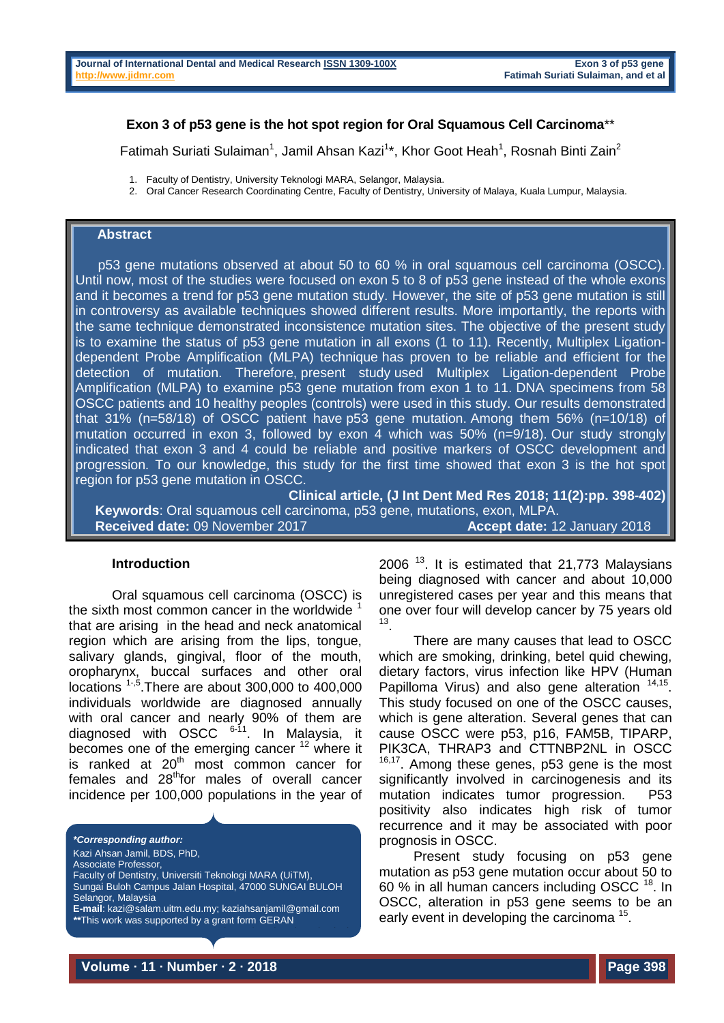## **Exon 3 of p53 gene is the hot spot region for Oral Squamous Cell Carcinoma**\*\*

Fatimah Suriati Sulaiman<sup>1</sup>, Jamil Ahsan Kazi<sup>1\*</sup>, Khor Goot Heah<sup>1</sup>, Rosnah Binti Zain<sup>2</sup>

- 1. Faculty of Dentistry, University Teknologi MARA, Selangor, Malaysia.
- 2. Oral Cancer Research Coordinating Centre, Faculty of Dentistry, University of Malaya, Kuala Lumpur, Malaysia.

### **Abstract**

 p53 gene mutations observed at about 50 to 60 % in oral squamous cell carcinoma (OSCC). Until now, most of the studies were focused on exon 5 to 8 of p53 gene instead of the whole exons and it becomes a trend for p53 gene mutation study. However, the site of p53 gene mutation is still in controversy as available techniques showed different results. More importantly, the reports with the same technique demonstrated inconsistence mutation sites. The objective of the present study is to examine the status of p53 gene mutation in all exons (1 to 11). Recently, Multiplex Ligationdependent Probe Amplification (MLPA) technique has proven to be reliable and efficient for the detection of mutation. Therefore, present study used Multiplex Ligation-dependent Probe Amplification (MLPA) to examine p53 gene mutation from exon 1 to 11. DNA specimens from 58 OSCC patients and 10 healthy peoples (controls) were used in this study. Our results demonstrated that 31% (n=58/18) of OSCC patient have p53 gene mutation. Among them 56% (n=10/18) of mutation occurred in exon 3, followed by exon 4 which was 50% (n=9/18). Our study strongly indicated that exon 3 and 4 could be reliable and positive markers of OSCC development and progression. To our knowledge, this study for the first time showed that exon 3 is the hot spot region for p53 gene mutation in OSCC.

**Clinical article, (J Int Dent Med Res 2018; 11(2):pp. 398-402)** 

**Keywords**: Oral squamous cell carcinoma, p53 gene, mutations, exon, MLPA. **Received date:** 09 November 2017 **Accept date:** 12 January 2018

### **Introduction**

Oral squamous cell carcinoma (OSCC) is the sixth most common cancer in the worldwide  $<sup>1</sup>$ </sup> that are arising in the head and neck anatomical region which are arising from the lips, tongue, salivary glands, gingival, floor of the mouth, oropharynx, buccal surfaces and other oral locations  $1.5$ . There are about 300,000 to 400,000 individuals worldwide are diagnosed annually with oral cancer and nearly 90% of them are diagnosed with  $OSCC$ <sup>6-11</sup>. In Malaysia, it becomes one of the emerging cancer  $12$  where it is ranked at  $20<sup>th</sup>$  most common cancer for females and 28<sup>th</sup>for males of overall cancer incidence per 100,000 populations in the year of

*\*Corresponding author:* Kazi Ahsan Jamil, BDS, PhD, Associate Professor, Faculty of Dentistry, Universiti Teknologi MARA (UiTM), Sungai Buloh Campus Jalan Hospital, 47000 SUNGAI BULOH Selangor, Malaysia **E-mail**: [kazi@salam.uitm.edu.my;](mailto:kazi@salam.uitm.edu.my) [kaziahsanjamil@gmail.com](mailto:kaziahsanjamil@gmail.com) *\*\**This work was supported by a grant form GERAN PENYELIDIKAN FUNDAMENTAL (FRGS), University Teknologi MARA (Grant # 600-RMI/FRGS 5/3 (48/2015).

 $2006$ <sup>13</sup>. It is estimated that  $21,773$  Malaysians being diagnosed with cancer and about 10,000 unregistered cases per year and this means that one over four will develop cancer by 75 years old 13 .

There are many causes that lead to OSCC which are smoking, drinking, betel quid chewing, dietary factors, virus infection like HPV (Human Papilloma Virus) and also gene alteration <sup>14,15</sup>. This study focused on one of the OSCC causes, which is gene alteration. Several genes that can cause OSCC were p53, p16, FAM5B, TIPARP, PIK3CA, THRAP3 and CTTNBP2NL in OSCC <sup>16,17</sup>. Among these genes, p53 gene is the most significantly involved in carcinogenesis and its mutation indicates tumor progression. P53 positivity also indicates high risk of tumor recurrence and it may be associated with poor prognosis in OSCC.

Present study focusing on p53 gene mutation as p53 gene mutation occur about 50 to 60 % in all human cancers including OSCC <sup>18</sup>. In OSCC, alteration in p53 gene seems to be an early event in developing the carcinoma<sup>15</sup>.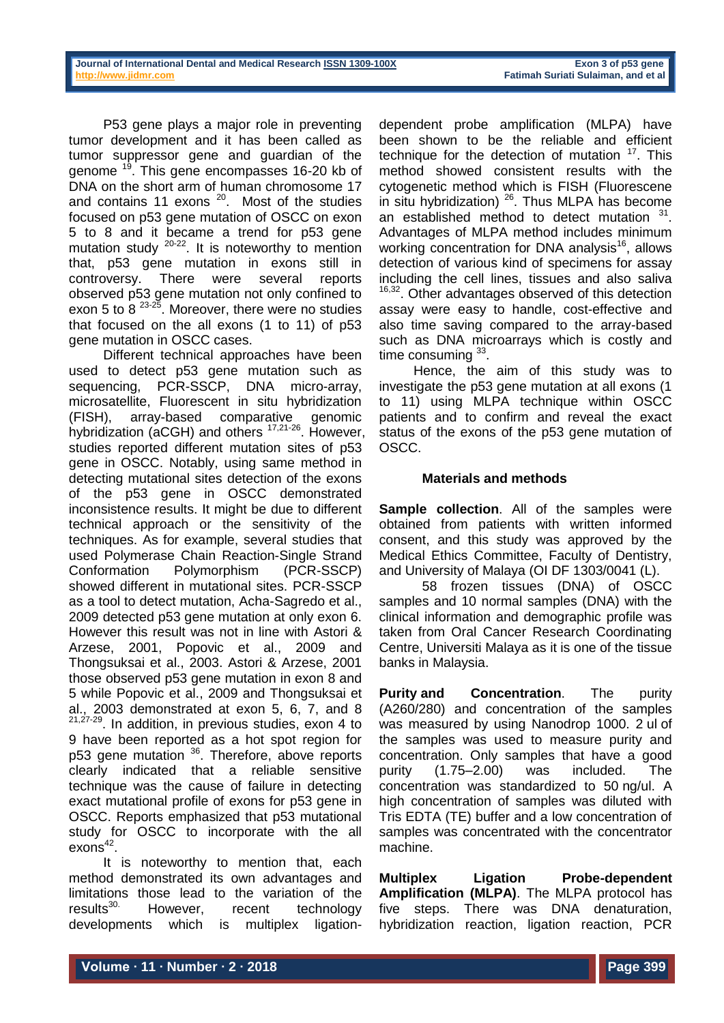P53 gene plays a major role in preventing tumor development and it has been called as tumor suppressor gene and guardian of the genome <sup>19</sup>. This gene encompasses 16-20 kb of DNA on the short arm of human chromosome 17 and contains 11 exons  $20$ . Most of the studies focused on p53 gene mutation of OSCC on exon 5 to 8 and it became a trend for p53 gene mutation study  $20-22$ . It is noteworthy to mention that, p53 gene mutation in exons still in controversy. There were several reports observed p53 gene mutation not only confined to exon 5 to 8  $^{23\cdot25}$ . Moreover, there were no studies that focused on the all exons (1 to 11) of p53 gene mutation in OSCC cases.

Different technical approaches have been used to detect p53 gene mutation such as sequencing, PCR-SSCP, DNA micro-array, microsatellite, Fluorescent in situ hybridization (FISH), array-based comparative genomic hybridization (aCGH) and others 17,21-26. However, studies reported different mutation sites of p53 gene in OSCC. Notably, using same method in detecting mutational sites detection of the exons of the p53 gene in OSCC demonstrated inconsistence results. It might be due to different technical approach or the sensitivity of the techniques. As for example, several studies that used Polymerase Chain Reaction-Single Strand Conformation Polymorphism (PCR-SSCP) showed different in mutational sites. PCR-SSCP as a tool to detect mutation, Acha-Sagredo et al., 2009 detected p53 gene mutation at only exon 6. However this result was not in line with Astori & Arzese, 2001, Popovic et al., 2009 and Thongsuksai et al., 2003. Astori & Arzese, 2001 those observed p53 gene mutation in exon 8 and 5 while Popovic et al., 2009 and Thongsuksai et al., 2003 demonstrated at exon 5, 6, 7, and 8 21,27-29. In addition, in previous studies, exon 4 to 9 have been reported as a hot spot region for p53 gene mutation <sup>36</sup>. Therefore, above reports clearly indicated that a reliable sensitive technique was the cause of failure in detecting exact mutational profile of exons for p53 gene in OSCC. Reports emphasized that p53 mutational study for OSCC to incorporate with the all  $exons<sup>42</sup>$ .

It is noteworthy to mention that, each method demonstrated its own advantages and limitations those lead to the variation of the results<sup>30.</sup> However, recent technology developments which is multiplex ligation-

dependent probe amplification (MLPA) have been shown to be the reliable and efficient technique for the detection of mutation  $17$ . This method showed consistent results with the cytogenetic method which is FISH (Fluorescene in situ hybridization)  $26$ . Thus MLPA has become an established method to detect mutation  $31$ . Advantages of MLPA method includes minimum working concentration for DNA analysis<sup>16</sup>, allows detection of various kind of specimens for assay including the cell lines, tissues and also saliva <sup>16,32</sup>. Other advantages observed of this detection assay were easy to handle, cost-effective and also time saving compared to the array-based such as DNA microarrays which is costly and time consuming  $33$ .

Hence, the aim of this study was to investigate the p53 gene mutation at all exons (1 to 11) using MLPA technique within OSCC patients and to confirm and reveal the exact status of the exons of the p53 gene mutation of OSCC.

# **Materials and methods**

**Sample collection**. All of the samples were obtained from patients with written informed consent, and this study was approved by the Medical Ethics Committee, Faculty of Dentistry, and University of Malaya (OI DF 1303/0041 (L).

58 frozen tissues (DNA) of OSCC samples and 10 normal samples (DNA) with the clinical information and demographic profile was taken from Oral Cancer Research Coordinating Centre, Universiti Malaya as it is one of the tissue banks in Malaysia.

**Purity and Concentration.** The purity (A260/280) and concentration of the samples was measured by using Nanodrop 1000. 2 ul of the samples was used to measure purity and concentration. Only samples that have a good purity (1.75–2.00) was included. The concentration was standardized to 50 ng/ul. A high concentration of samples was diluted with Tris EDTA (TE) buffer and a low concentration of samples was concentrated with the concentrator machine.

**Multiplex Ligation Probe-dependent Amplification (MLPA)**. The MLPA protocol has five steps. There was DNA denaturation, hybridization reaction, ligation reaction, PCR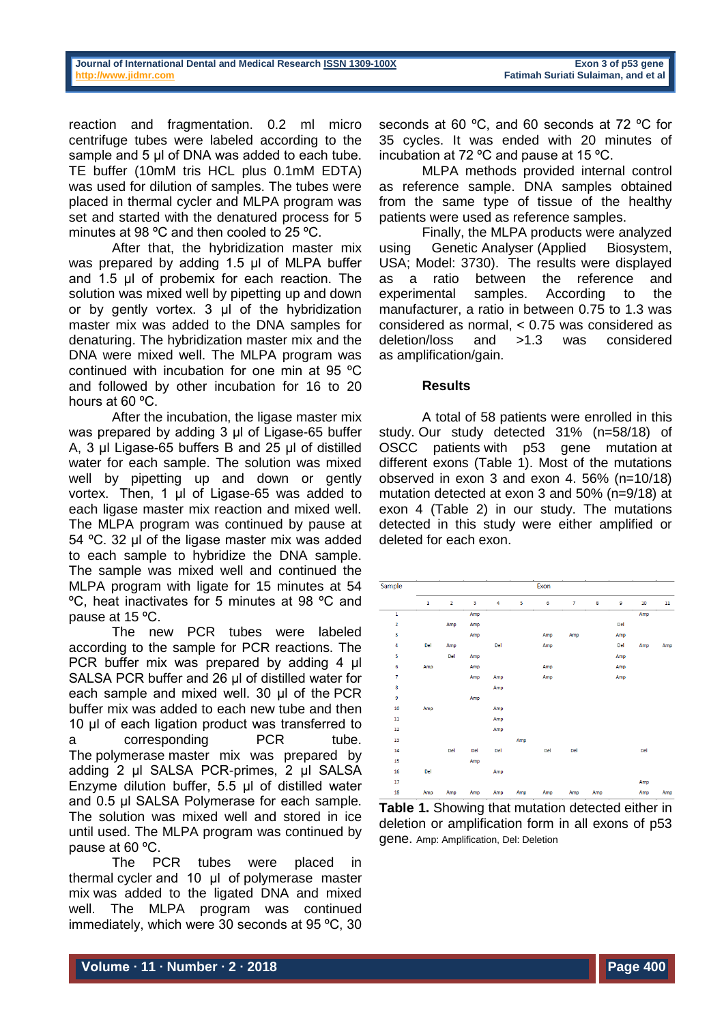reaction and fragmentation. 0.2 ml micro centrifuge tubes were labeled according to the sample and 5 µl of DNA was added to each tube. TE buffer (10mM tris HCL plus 0.1mM EDTA) was used for dilution of samples. The tubes were placed in thermal cycler and MLPA program was set and started with the denatured process for 5 minutes at 98 ºC and then cooled to 25 ºC.

After that, the hybridization master mix was prepared by adding 1.5 µl of MLPA buffer and 1.5 µl of probemix for each reaction. The solution was mixed well by pipetting up and down or by gently vortex. 3 µl of the hybridization master mix was added to the DNA samples for denaturing. The hybridization master mix and the DNA were mixed well. The MLPA program was continued with incubation for one min at 95 ºC and followed by other incubation for 16 to 20 hours at 60 ºC.

After the incubation, the ligase master mix was prepared by adding 3 µl of Ligase-65 buffer A, 3 µl Ligase-65 buffers B and 25 µl of distilled water for each sample. The solution was mixed well by pipetting up and down or gently vortex. Then, 1 µl of Ligase-65 was added to each ligase master mix reaction and mixed well. The MLPA program was continued by pause at 54 ºC. 32 µl of the ligase master mix was added to each sample to hybridize the DNA sample. The sample was mixed well and continued the MLPA program with ligate for 15 minutes at 54 ºC, heat inactivates for 5 minutes at 98 ºC and pause at 15 ºC.

The new PCR tubes were labeled according to the sample for PCR reactions. The PCR buffer mix was prepared by adding 4 µl SALSA PCR buffer and 26 µl of distilled water for each sample and mixed well. 30 µl of the PCR buffer mix was added to each new tube and then 10 µl of each ligation product was transferred to a corresponding PCR tube. The polymerase master mix was prepared by adding 2 µl SALSA PCR-primes, 2 µl SALSA Enzyme dilution buffer, 5.5 µl of distilled water and 0.5 µl SALSA Polymerase for each sample. The solution was mixed well and stored in ice until used. The MLPA program was continued by pause at 60 ºC.

The PCR tubes were placed in thermal cycler and 10 µl of polymerase master mix was added to the ligated DNA and mixed well. The MLPA program was continued immediately, which were 30 seconds at 95 ºC, 30

seconds at 60 ºC, and 60 seconds at 72 ºC for 35 cycles. It was ended with 20 minutes of incubation at 72 ºC and pause at 15 ºC.

MLPA methods provided internal control as reference sample. DNA samples obtained from the same type of tissue of the healthy patients were used as reference samples.

Finally, the MLPA products were analyzed using Genetic Analyser (Applied Biosystem, USA; Model: 3730). The results were displayed as a ratio between the reference and experimental samples. According to the manufacturer, a ratio in between 0.75 to 1.3 was considered as normal, < 0.75 was considered as deletion/loss and >1.3 was considered as amplification/gain.

### **Results**

A total of 58 patients were enrolled in this study. Our study detected 31% (n=58/18) of OSCC patients with p53 gene mutation at different exons (Table 1). Most of the mutations observed in exon 3 and exon 4. 56% (n=10/18) mutation detected at exon 3 and 50% (n=9/18) at exon 4 (Table 2) in our study. The mutations detected in this study were either amplified or deleted for each exon.

| Sample                  | Exon        |                |     |     |     |     |                |     |     |     |        |
|-------------------------|-------------|----------------|-----|-----|-----|-----|----------------|-----|-----|-----|--------|
|                         |             |                |     |     |     |     |                |     |     |     |        |
|                         | $\mathbf 1$ | $\overline{2}$ | 3   | 4   | 5   | 6   | $\overline{7}$ | 8   | 9   | 10  | $11\,$ |
| $\mathbf 1$             |             |                | Amp |     |     |     |                |     |     | Amp |        |
| $\overline{\mathbf{2}}$ |             | Amp            | Amp |     |     |     |                |     | Del |     |        |
| 3                       |             |                | Amp |     |     | Amp | Amp            |     | Amp |     |        |
| 4                       | Del         | Amp            |     | Del |     | Amp |                |     | Del | Amp | Amp    |
| 5                       |             | Del            | Amp |     |     |     |                |     | Amp |     |        |
| 6                       | Amp         |                | Amp |     |     | Amp |                |     | Amp |     |        |
| 7                       |             |                | Amp | Amp |     | Amp |                |     | Amp |     |        |
| 8                       |             |                |     | Amp |     |     |                |     |     |     |        |
| 9                       |             |                | Amp |     |     |     |                |     |     |     |        |
| 10                      | Amp         |                |     | Amp |     |     |                |     |     |     |        |
| $11\,$                  |             |                |     | Amp |     |     |                |     |     |     |        |
| 12                      |             |                |     | Amp |     |     |                |     |     |     |        |
| 13                      |             |                |     |     | Amp |     |                |     |     |     |        |
| 14                      |             | Del            | Del | Del |     | Del | Del            |     |     | Del |        |
| 15                      |             |                | Amp |     |     |     |                |     |     |     |        |
| 16                      | Del         |                |     | Amp |     |     |                |     |     |     |        |
| 17                      |             |                |     |     |     |     |                |     |     | Amp |        |
| 18                      | Amp         | Amp            | Amp | Amp | Amp | Amp | Amp            | Amp |     | Amp | Amp    |

**Table 1.** Showing that mutation detected either in deletion or amplification form in all exons of p53 gene. Amp: Amplification, Del: Deletion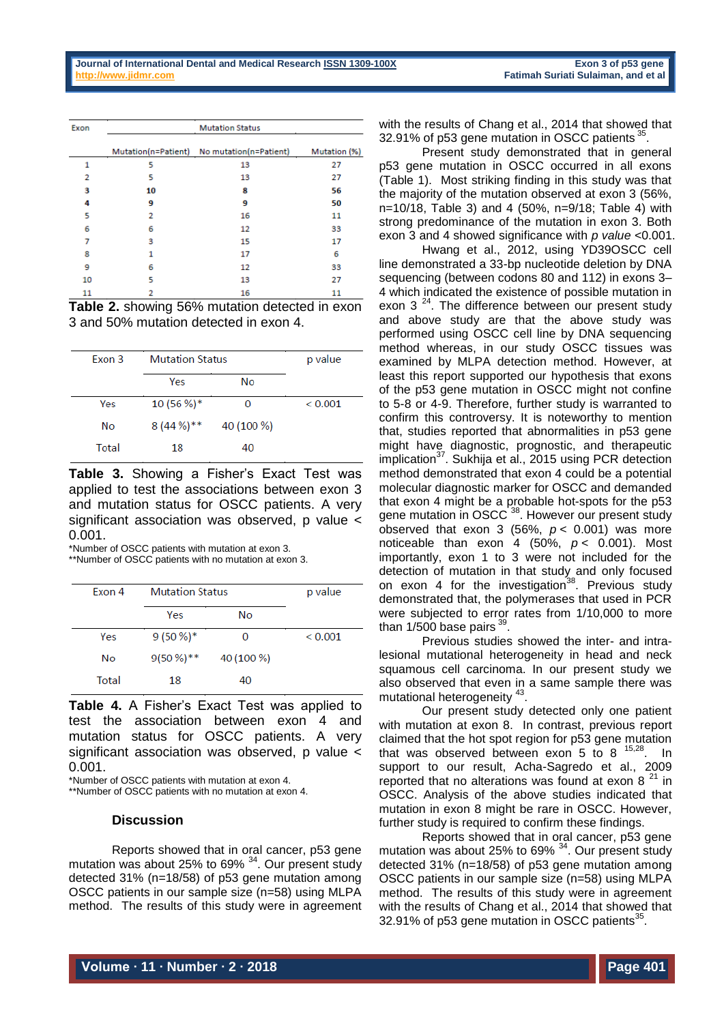| Exon | <b>Mutation Status</b> |                                            |              |  |  |  |  |
|------|------------------------|--------------------------------------------|--------------|--|--|--|--|
|      |                        | Mutation(n=Patient) No mutation(n=Patient) | Mutation (%) |  |  |  |  |
| 1    | 5                      | 13                                         | 27           |  |  |  |  |
| 2    | 5                      | 13                                         | 27           |  |  |  |  |
| з    | 10                     | 8                                          | 56           |  |  |  |  |
| 4    | 9                      | 9                                          | 50           |  |  |  |  |
| 5    | 2                      | 16                                         | 11           |  |  |  |  |
| 6    | 6                      | 12                                         | 33           |  |  |  |  |
| 7    | 3                      | 15                                         | 17           |  |  |  |  |
| 8    | 1                      | 17                                         | 6            |  |  |  |  |
| 9    | 6                      | 12                                         | 33           |  |  |  |  |
| 10   | 5                      | 13                                         | 27           |  |  |  |  |
| 11   | 2                      | 16                                         | 11           |  |  |  |  |

**Table 2.** showing 56% mutation detected in exon 3 and 50% mutation detected in exon 4.

| Exon 3 | <b>Mutation Status</b> | p value    |              |
|--------|------------------------|------------|--------------|
|        | Yes                    | No         |              |
| Yes    | $10(56\%)*$            |            | ${}_{0.001}$ |
| No     | $8(44\%)$ **           | 40 (100 %) |              |
| Total  | 18                     | 40         |              |

**Table 3.** Showing a Fisher's Exact Test was applied to test the associations between exon 3 and mutation status for OSCC patients. A very significant association was observed, p value < 0.001.

\*Number of OSCC patients with mutation at exon 3.

\*\*Number of OSCC patients with no mutation at exon 3.

| Exon 4 | <b>Mutation Status</b> | p value    |         |
|--------|------------------------|------------|---------|
|        | Yes                    | No         |         |
| Yes    | $9(50\%)*$             | 0          | < 0.001 |
| No     | $9(50\%)$ **           | 40 (100 %) |         |
| Total  | 18                     | 40         |         |

**Table 4.** A Fisher's Exact Test was applied to test the association between exon 4 and mutation status for OSCC patients. A very significant association was observed, p value < 0.001.

\*Number of OSCC patients with mutation at exon 4.

\*\*Number of OSCC patients with no mutation at exon 4.

#### **Discussion**

Reports showed that in oral cancer, p53 gene mutation was about 25% to 69% <sup>34</sup>. Our present study detected 31% (n=18/58) of p53 gene mutation among OSCC patients in our sample size (n=58) using MLPA method. The results of this study were in agreement with the results of Chang et al., 2014 that showed that 32.91% of p53 gene mutation in OSCC patients 35.

Present study demonstrated that in general p53 gene mutation in OSCC occurred in all exons (Table 1). Most striking finding in this study was that the majority of the mutation observed at exon 3 (56%, n=10/18, Table 3) and 4 (50%, n=9/18; Table 4) with strong predominance of the mutation in exon 3. Both exon 3 and 4 showed significance with *p value* <0.001.

Hwang et al., 2012, using YD39OSCC cell line demonstrated a 33-bp nucleotide deletion by DNA sequencing (between codons 80 and 112) in exons 3– 4 which indicated the existence of possible mutation in exon  $3^{24}$ . The difference between our present study and above study are that the above study was performed using OSCC cell line by DNA sequencing method whereas, in our study OSCC tissues was examined by MLPA detection method. However, at least this report supported our hypothesis that exons of the p53 gene mutation in OSCC might not confine to 5-8 or 4-9. Therefore, further study is warranted to confirm this controversy. It is noteworthy to mention that, studies reported that abnormalities in p53 gene might have diagnostic, prognostic, and therapeutic implication<sup>37</sup>. Sukhija et al., 2015 using PCR detection method demonstrated that exon 4 could be a potential molecular diagnostic marker for OSCC and demanded that exon 4 might be a probable hot-spots for the p53 gene mutation in OSCC<sup>38</sup>. However our present study observed that exon 3 (56%,  $p < 0.001$ ) was more noticeable than exon 4 (50%,  $p < 0.001$ ). Most importantly, exon 1 to 3 were not included for the detection of mutation in that study and only focused on exon 4 for the investigation<sup>38</sup>. Previous study demonstrated that, the polymerases that used in PCR were subjected to error rates from 1/10,000 to more than  $1/500$  base pairs  $^{39}$ .

Previous studies showed the inter- and intralesional mutational heterogeneity in head and neck squamous cell carcinoma. In our present study we also observed that even in a same sample there was mutational heterogeneity<sup>43</sup>.

Our present study detected only one patient with mutation at exon 8. In contrast, previous report claimed that the hot spot region for p53 gene mutation that was observed between exon 5 to 8  $15,28$ . In support to our result, Acha-Sagredo et al., 2009 reported that no alterations was found at exon  $8^{21}$  in OSCC. Analysis of the above studies indicated that mutation in exon 8 might be rare in OSCC. However, further study is required to confirm these findings.

Reports showed that in oral cancer, p53 gene mutation was about 25% to 69% <sup>34</sup>. Our present study detected 31% (n=18/58) of p53 gene mutation among OSCC patients in our sample size (n=58) using MLPA method. The results of this study were in agreement with the results of Chang et al., 2014 that showed that 32.91% of p53 gene mutation in OSCC patients<sup>35</sup>.